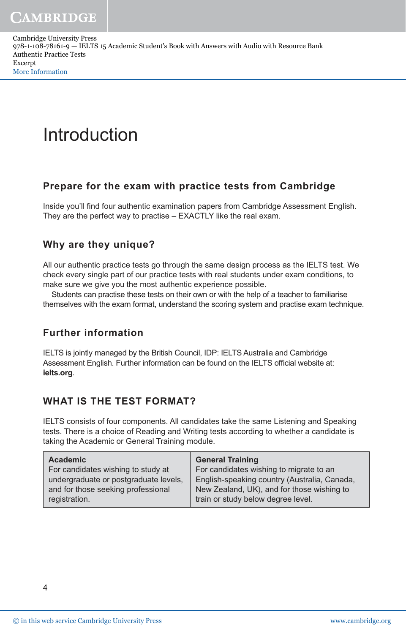Cambridge University Press 978-1-108-78161-9 — IELTS 15 Academic Student's Book with Answers with Audio with Resource Bank Authentic Practice Tests Excerpt [More Information](www.cambridge.org/9781108781619)

# Introduction

## **Prepare for the exam with practice tests from Cambridge**

Inside you'll find four authentic examination papers from Cambridge Assessment English. They are the perfect way to practise – EXACTLY like the real exam.

# **Why are they unique?**

All our authentic practice tests go through the same design process as the IELTS test. We check every single part of our practice tests with real students under exam conditions, to make sure we give you the most authentic experience possible.

Students can practise these tests on their own or with the help of a teacher to familiarise themselves with the exam format, understand the scoring system and practise exam technique.

## **Further information**

IELTS is jointly managed by the British Council, IDP: IELTS Australia and Cambridge Assessment English. Further information can be found on the IELTS official website at: **ielts.org**.

## **WHAT IS THE TEST FORMAT?**

IELTS consists of four components. All candidates take the same Listening and Speaking tests. There is a choice of Reading and Writing tests according to whether a candidate is taking the Academic or General Training module.

| <b>Academic</b>                       | <b>General Training</b>                      |
|---------------------------------------|----------------------------------------------|
| For candidates wishing to study at    | For candidates wishing to migrate to an      |
| undergraduate or postgraduate levels, | English-speaking country (Australia, Canada, |
| and for those seeking professional    | New Zealand, UK), and for those wishing to   |
| registration.                         | train or study below degree level.           |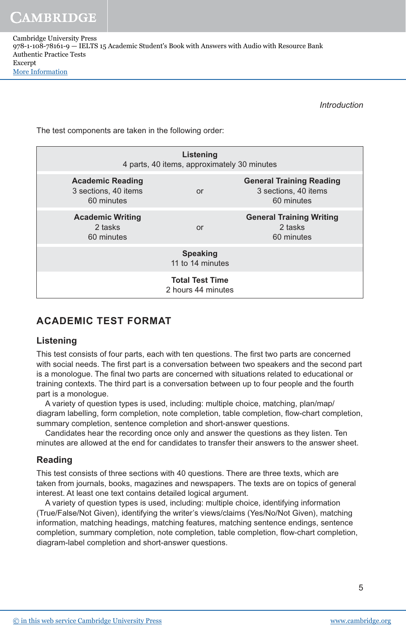**CAMBRIDGE** 

*Introduction*

The test components are taken in the following order:

| Listening<br>4 parts, 40 items, approximately 30 minutes      |           |                                                                       |
|---------------------------------------------------------------|-----------|-----------------------------------------------------------------------|
| <b>Academic Reading</b><br>3 sections, 40 items<br>60 minutes | <b>or</b> | <b>General Training Reading</b><br>3 sections, 40 items<br>60 minutes |
| <b>Academic Writing</b><br>2 tasks<br>60 minutes              | or        | <b>General Training Writing</b><br>2 tasks<br>60 minutes              |
| <b>Speaking</b><br>11 to 14 minutes                           |           |                                                                       |
| <b>Total Test Time</b><br>2 hours 44 minutes                  |           |                                                                       |

# **ACADEMIC TEST FORMAT**

## **Listening**

This test consists of four parts, each with ten questions. The first two parts are concerned with social needs. The first part is a conversation between two speakers and the second part is a monologue. The final two parts are concerned with situations related to educational or training contexts. The third part is a conversation between up to four people and the fourth part is a monologue.

A variety of question types is used, including: multiple choice, matching, plan/map/ diagram labelling, form completion, note completion, table completion, flow-chart completion, summary completion, sentence completion and short-answer questions.

Candidates hear the recording once only and answer the questions as they listen. Ten minutes are allowed at the end for candidates to transfer their answers to the answer sheet.

## **Reading**

This test consists of three sections with 40 questions. There are three texts, which are taken from journals, books, magazines and newspapers. The texts are on topics of general interest. At least one text contains detailed logical argument.

A variety of question types is used, including: multiple choice, identifying information (True/False/Not Given), identifying the writer's views/claims (Yes/No/Not Given), matching information, matching headings, matching features, matching sentence endings, sentence completion, summary completion, note completion, table completion, flow-chart completion, diagram-label completion and short-answer questions.